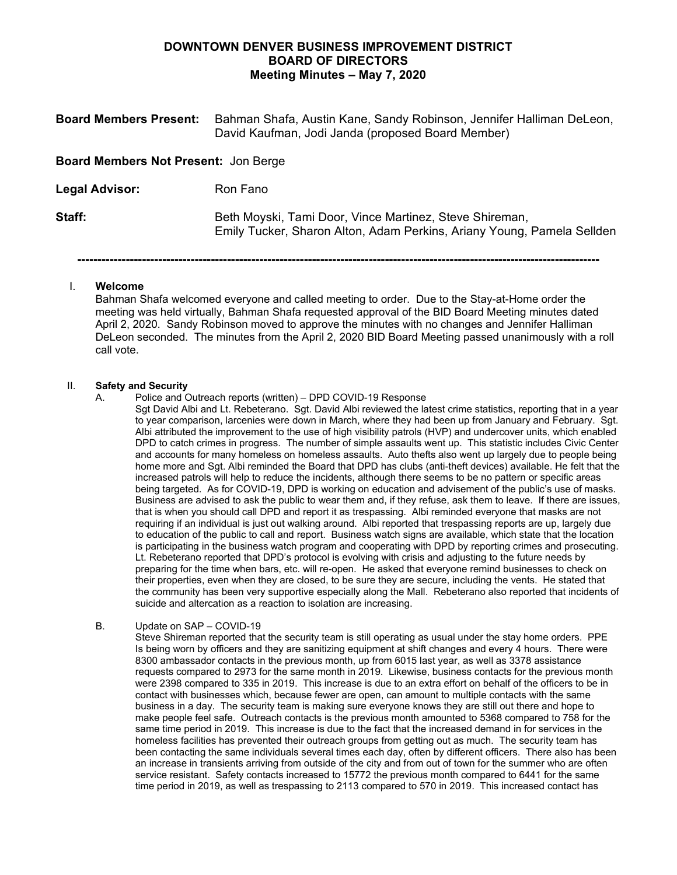## **DOWNTOWN DENVER BUSINESS IMPROVEMENT DISTRICT BOARD OF DIRECTORS Meeting Minutes – May 7, 2020**

| <b>Board Members Present:</b>               | Bahman Shafa, Austin Kane, Sandy Robinson, Jennifer Halliman DeLeon,<br>David Kaufman, Jodi Janda (proposed Board Member)         |  |  |
|---------------------------------------------|-----------------------------------------------------------------------------------------------------------------------------------|--|--|
| <b>Board Members Not Present: Jon Berge</b> |                                                                                                                                   |  |  |
| <b>Legal Advisor:</b>                       | Ron Fano                                                                                                                          |  |  |
| Staff:                                      | Beth Moyski, Tami Door, Vince Martinez, Steve Shireman,<br>Emily Tucker, Sharon Alton, Adam Perkins, Ariany Young, Pamela Sellden |  |  |

**---------------------------------------------------------------------------------------------------------------------------------**

## I. **Welcome**

Bahman Shafa welcomed everyone and called meeting to order. Due to the Stay-at-Home order the meeting was held virtually, Bahman Shafa requested approval of the BID Board Meeting minutes dated April 2, 2020. Sandy Robinson moved to approve the minutes with no changes and Jennifer Halliman DeLeon seconded. The minutes from the April 2, 2020 BID Board Meeting passed unanimously with a roll call vote.

## II. **Safety and Security**

A. Police and Outreach reports (written) – DPD COVID-19 Response

Sgt David Albi and Lt. Rebeterano. Sgt. David Albi reviewed the latest crime statistics, reporting that in a year to year comparison, larcenies were down in March, where they had been up from January and February. Sgt. Albi attributed the improvement to the use of high visibility patrols (HVP) and undercover units, which enabled DPD to catch crimes in progress. The number of simple assaults went up. This statistic includes Civic Center and accounts for many homeless on homeless assaults. Auto thefts also went up largely due to people being home more and Sgt. Albi reminded the Board that DPD has clubs (anti-theft devices) available. He felt that the increased patrols will help to reduce the incidents, although there seems to be no pattern or specific areas being targeted. As for COVID-19, DPD is working on education and advisement of the public's use of masks. Business are advised to ask the public to wear them and, if they refuse, ask them to leave. If there are issues, that is when you should call DPD and report it as trespassing. Albi reminded everyone that masks are not requiring if an individual is just out walking around. Albi reported that trespassing reports are up, largely due to education of the public to call and report. Business watch signs are available, which state that the location is participating in the business watch program and cooperating with DPD by reporting crimes and prosecuting. Lt. Rebeterano reported that DPD's protocol is evolving with crisis and adjusting to the future needs by preparing for the time when bars, etc. will re-open. He asked that everyone remind businesses to check on their properties, even when they are closed, to be sure they are secure, including the vents. He stated that the community has been very supportive especially along the Mall. Rebeterano also reported that incidents of suicide and altercation as a reaction to isolation are increasing.

## B. Update on SAP – COVID-19

Steve Shireman reported that the security team is still operating as usual under the stay home orders. PPE Is being worn by officers and they are sanitizing equipment at shift changes and every 4 hours. There were 8300 ambassador contacts in the previous month, up from 6015 last year, as well as 3378 assistance requests compared to 2973 for the same month in 2019. Likewise, business contacts for the previous month were 2398 compared to 335 in 2019. This increase is due to an extra effort on behalf of the officers to be in contact with businesses which, because fewer are open, can amount to multiple contacts with the same business in a day. The security team is making sure everyone knows they are still out there and hope to make people feel safe. Outreach contacts is the previous month amounted to 5368 compared to 758 for the same time period in 2019. This increase is due to the fact that the increased demand in for services in the homeless facilities has prevented their outreach groups from getting out as much. The security team has been contacting the same individuals several times each day, often by different officers. There also has been an increase in transients arriving from outside of the city and from out of town for the summer who are often service resistant. Safety contacts increased to 15772 the previous month compared to 6441 for the same time period in 2019, as well as trespassing to 2113 compared to 570 in 2019. This increased contact has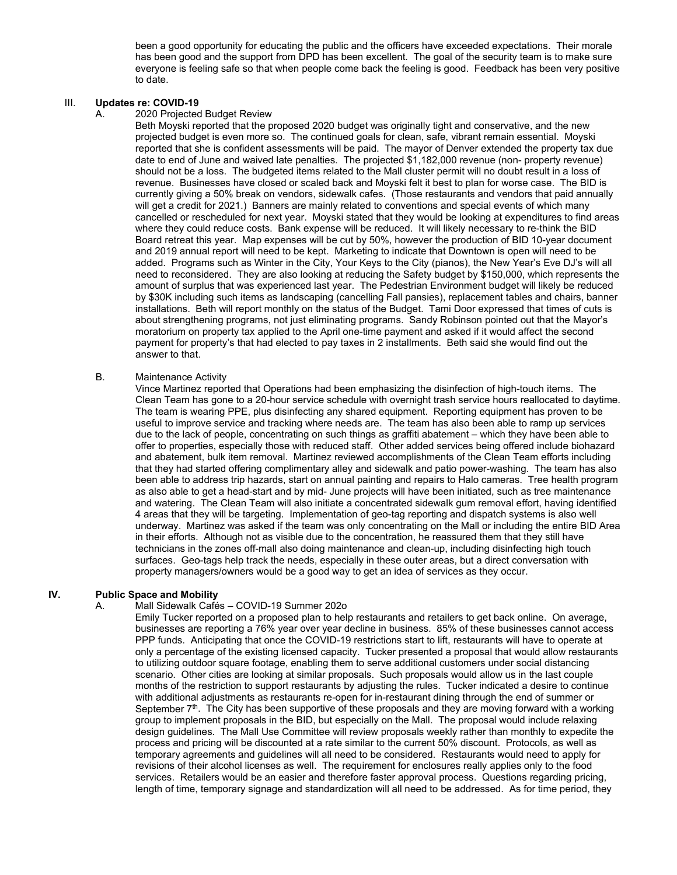been a good opportunity for educating the public and the officers have exceeded expectations. Their morale has been good and the support from DPD has been excellent. The goal of the security team is to make sure everyone is feeling safe so that when people come back the feeling is good. Feedback has been very positive to date.

## III. **Updates re: COVID-19**<br>A. 2020 Proiected

#### 2020 Projected Budget Review

Beth Moyski reported that the proposed 2020 budget was originally tight and conservative, and the new projected budget is even more so. The continued goals for clean, safe, vibrant remain essential. Moyski reported that she is confident assessments will be paid. The mayor of Denver extended the property tax due date to end of June and waived late penalties. The projected \$1,182,000 revenue (non- property revenue) should not be a loss. The budgeted items related to the Mall cluster permit will no doubt result in a loss of revenue. Businesses have closed or scaled back and Moyski felt it best to plan for worse case. The BID is currently giving a 50% break on vendors, sidewalk cafes. (Those restaurants and vendors that paid annually will get a credit for 2021.) Banners are mainly related to conventions and special events of which many cancelled or rescheduled for next year. Moyski stated that they would be looking at expenditures to find areas where they could reduce costs. Bank expense will be reduced. It will likely necessary to re-think the BID Board retreat this year. Map expenses will be cut by 50%, however the production of BID 10-year document and 2019 annual report will need to be kept. Marketing to indicate that Downtown is open will need to be added. Programs such as Winter in the City, Your Keys to the City (pianos), the New Year's Eve DJ's will all need to reconsidered. They are also looking at reducing the Safety budget by \$150,000, which represents the amount of surplus that was experienced last year. The Pedestrian Environment budget will likely be reduced by \$30K including such items as landscaping (cancelling Fall pansies), replacement tables and chairs, banner installations. Beth will report monthly on the status of the Budget. Tami Door expressed that times of cuts is about strengthening programs, not just eliminating programs. Sandy Robinson pointed out that the Mayor's moratorium on property tax applied to the April one-time payment and asked if it would affect the second payment for property's that had elected to pay taxes in 2 installments. Beth said she would find out the answer to that.

#### B. Maintenance Activity

Vince Martinez reported that Operations had been emphasizing the disinfection of high-touch items. The Clean Team has gone to a 20-hour service schedule with overnight trash service hours reallocated to daytime. The team is wearing PPE, plus disinfecting any shared equipment. Reporting equipment has proven to be useful to improve service and tracking where needs are. The team has also been able to ramp up services due to the lack of people, concentrating on such things as graffiti abatement – which they have been able to offer to properties, especially those with reduced staff. Other added services being offered include biohazard and abatement, bulk item removal. Martinez reviewed accomplishments of the Clean Team efforts including that they had started offering complimentary alley and sidewalk and patio power-washing. The team has also been able to address trip hazards, start on annual painting and repairs to Halo cameras. Tree health program as also able to get a head-start and by mid- June projects will have been initiated, such as tree maintenance and watering. The Clean Team will also initiate a concentrated sidewalk gum removal effort, having identified 4 areas that they will be targeting. Implementation of geo-tag reporting and dispatch systems is also well underway. Martinez was asked if the team was only concentrating on the Mall or including the entire BID Area in their efforts. Although not as visible due to the concentration, he reassured them that they still have technicians in the zones off-mall also doing maintenance and clean-up, including disinfecting high touch surfaces. Geo-tags help track the needs, especially in these outer areas, but a direct conversation with property managers/owners would be a good way to get an idea of services as they occur.

#### **IV. Public Space and Mobility**

## A. Mall Sidewalk Cafés – COVID-19 Summer 202o

Emily Tucker reported on a proposed plan to help restaurants and retailers to get back online. On average, businesses are reporting a 76% year over year decline in business. 85% of these businesses cannot access PPP funds. Anticipating that once the COVID-19 restrictions start to lift, restaurants will have to operate at only a percentage of the existing licensed capacity. Tucker presented a proposal that would allow restaurants to utilizing outdoor square footage, enabling them to serve additional customers under social distancing scenario. Other cities are looking at similar proposals. Such proposals would allow us in the last couple months of the restriction to support restaurants by adjusting the rules. Tucker indicated a desire to continue with additional adjustments as restaurants re-open for in-restaurant dining through the end of summer or September  $7<sup>th</sup>$ . The City has been supportive of these proposals and they are moving forward with a working group to implement proposals in the BID, but especially on the Mall. The proposal would include relaxing design guidelines. The Mall Use Committee will review proposals weekly rather than monthly to expedite the process and pricing will be discounted at a rate similar to the current 50% discount. Protocols, as well as temporary agreements and guidelines will all need to be considered. Restaurants would need to apply for revisions of their alcohol licenses as well. The requirement for enclosures really applies only to the food services. Retailers would be an easier and therefore faster approval process. Questions regarding pricing, length of time, temporary signage and standardization will all need to be addressed. As for time period, they